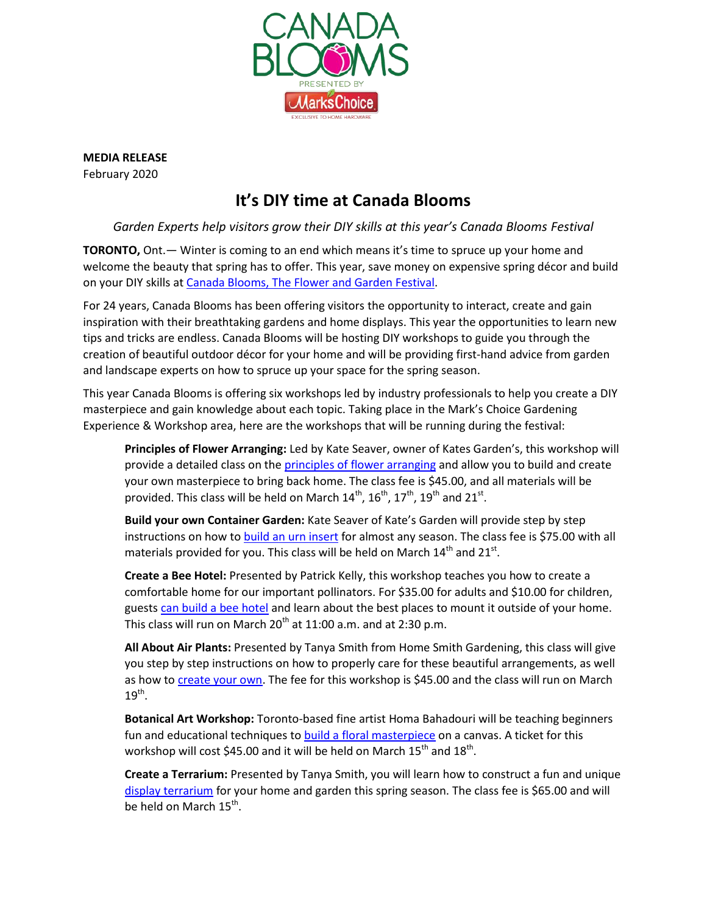

**MEDIA RELEASE** February 2020

## **It's DIY time at Canada Blooms**

*Garden Experts help visitors grow their DIY skills at this year's Canada Blooms Festival* 

**TORONTO,** Ont.— Winter is coming to an end which means it's time to spruce up your home and welcome the beauty that spring has to offer. This year, save money on expensive spring décor and build on your DIY skills at [Canada Blooms, The Flowe](https://canadablooms.com/)r and Garden Festival.

For 24 years, Canada Blooms has been offering visitors the opportunity to interact, create and gain inspiration with their breathtaking gardens and home displays. This year the opportunities to learn new tips and tricks are endless. Canada Blooms will be hosting DIY workshops to guide you through the creation of beautiful outdoor décor for your home and will be providing first-hand advice from garden and landscape experts on how to spruce up your space for the spring season.

This year Canada Blooms is offering six workshops led by industry professionals to help you create a DIY masterpiece and gain knowledge about each topic. Taking place in the Mark's Choice Gardening Experience & Workshop area, here are the workshops that will be running during the festival:

**Principles of Flower Arranging:** Led by Kate Seaver, owner of Kates Garden's, this workshop will provide a detailed class on the [principles of flower arranging](https://canadablooms.com/event/principles-of-flower-arranging-make-take/) and allow you to build and create your own masterpiece to bring back home. The class fee is \$45.00, and all materials will be provided. This class will be held on March  $14^{\text{th}}$ ,  $16^{\text{th}}$ ,  $17^{\text{th}}$ ,  $19^{\text{th}}$  and  $21^{\text{st}}$ .

**Build your own Container Garden:** Kate Seaver of Kate's Garden will provide step by step instructions on how to build [an urn insert](https://canadablooms.com/event/container-gardening-make-take/) for almost any season. The class fee is \$75.00 with all materials provided for you. This class will be held on March  $14^{\text{th}}$  and  $21^{\text{st}}$ .

**Create a Bee Hotel:** Presented by Patrick Kelly, this workshop teaches you how to create a comfortable home for our important pollinators. For \$35.00 for adults and \$10.00 for children, guests [can build a bee hotel](https://canadablooms.com/event/create-a-bee-hotel-workshop-with-patrick-kelly/) and learn about the best places to mount it outside of your home. This class will run on March  $20^{th}$  at 11:00 a.m. and at 2:30 p.m.

**All About Air Plants:** Presented by Tanya Smith from Home Smith Gardening, this class will give you step by step instructions on how to properly care for these beautiful arrangements, as well as how to [create your own.](https://canadablooms.com/event/all-about-air-plants/) The fee for this workshop is \$45.00 and the class will run on March  $19^{\text{th}}$ .

**Botanical Art Workshop:** Toronto-based fine artist Homa Bahadouri will be teaching beginners fun and educational techniques to **build a floral masterpiece** on a canvas. A ticket for this workshop will cost \$45.00 and it will be held on March  $15^{\text{th}}$  and  $18^{\text{th}}$ .

**Create a Terrarium:** Presented by Tanya Smith, you will learn how to construct a fun and unique [display terrarium](https://canadablooms.com/event/create-a-terrarium-make-take-with-tanya-smith/) for your home and garden this spring season. The class fee is \$65.00 and will be held on March 15<sup>th</sup>.